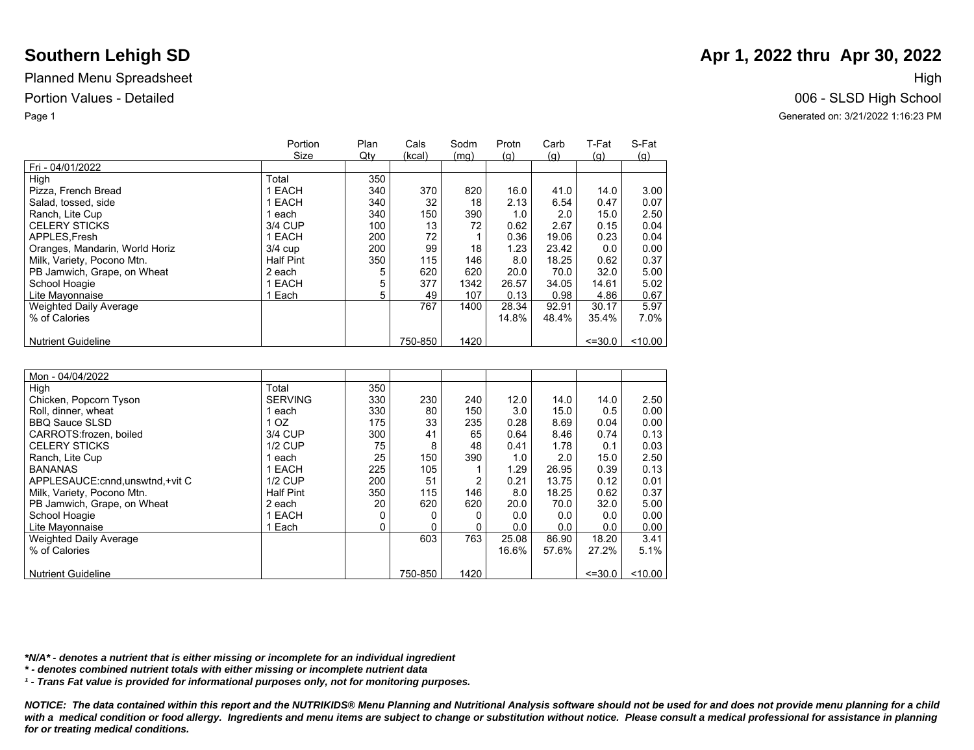|                                | Portion          | Plan | Cals    | Sodm | Protn | Carb  | T-Fat       | S-Fat      |
|--------------------------------|------------------|------|---------|------|-------|-------|-------------|------------|
|                                | Size             | Qty  | (kcal)  | (mq) | (q)   | (q)   | (g)         | <u>(g)</u> |
| Fri - 04/01/2022               |                  |      |         |      |       |       |             |            |
| High                           | Total            | 350  |         |      |       |       |             |            |
| Pizza, French Bread            | EACH             | 340  | 370     | 820  | 16.0  | 41.0  | 14.0        | 3.00       |
| Salad, tossed, side            | <b>EACH</b>      | 340  | 32      | 18   | 2.13  | 6.54  | 0.47        | 0.07       |
| Ranch, Lite Cup                | each             | 340  | 150     | 390  | 1.0   | 2.0   | 15.0        | 2.50       |
| <b>CELERY STICKS</b>           | 3/4 CUP          | 100  | 13      | 72   | 0.62  | 2.67  | 0.15        | 0.04       |
| APPLES, Fresh                  | 1 EACH           | 200  | 72      |      | 0.36  | 19.06 | 0.23        | 0.04       |
| Oranges, Mandarin, World Horiz | $3/4$ cup        | 200  | 99      | 18   | 1.23  | 23.42 | 0.0         | 0.00       |
| Milk, Variety, Pocono Mtn.     | <b>Half Pint</b> | 350  | 115     | 146  | 8.0   | 18.25 | 0.62        | 0.37       |
| PB Jamwich, Grape, on Wheat    | 2 each           |      | 620     | 620  | 20.0  | 70.0  | 32.0        | 5.00       |
| School Hoagie                  | 1 EACH           | 5    | 377     | 1342 | 26.57 | 34.05 | 14.61       | 5.02       |
| Lite Mayonnaise                | Each             | 5    | 49      | 107  | 0.13  | 0.98  | 4.86        | 0.67       |
| <b>Weighted Daily Average</b>  |                  |      | 767     | 1400 | 28.34 | 92.91 | 30.17       | 5.97       |
| % of Calories                  |                  |      |         |      | 14.8% | 48.4% | 35.4%       | 7.0%       |
|                                |                  |      |         |      |       |       |             |            |
| <b>Nutrient Guideline</b>      |                  |      | 750-850 | 1420 |       |       | $\leq 30.0$ | $<$ 10.00  |

| Mon - 04/04/2022                  |                |     |         |      |       |       |             |         |
|-----------------------------------|----------------|-----|---------|------|-------|-------|-------------|---------|
| High                              | Total          | 350 |         |      |       |       |             |         |
| Chicken, Popcorn Tyson            | <b>SERVING</b> | 330 | 230     | 240  | 12.0  | 14.0  | 14.0        | 2.50    |
| Roll, dinner, wheat               | 1 each         | 330 | 80      | 150  | 3.0   | 15.0  | 0.5         | 0.00    |
| <b>BBQ Sauce SLSD</b>             | 1 OZ           | 175 | 33      | 235  | 0.28  | 8.69  | 0.04        | 0.00    |
| CARROTS:frozen, boiled            | 3/4 CUP        | 300 | 41      | 65   | 0.64  | 8.46  | 0.74        | 0.13    |
| <b>CELERY STICKS</b>              | <b>1/2 CUP</b> | 75  | 8       | 48   | 0.41  | 1.78  | 0.1         | 0.03    |
| Ranch, Lite Cup                   | l each         | 25  | 150     | 390  | 1.0   | 2.0   | 15.0        | 2.50    |
| <b>BANANAS</b>                    | 1 EACH         | 225 | 105     |      | 1.29  | 26.95 | 0.39        | 0.13    |
| APPLESAUCE: cnnd, unswtnd, +vit C | $1/2$ CUP      | 200 | 51      | 2    | 0.21  | 13.75 | 0.12        | 0.01    |
| Milk, Variety, Pocono Mtn.        | Half Pint      | 350 | 115     | 146  | 8.0   | 18.25 | 0.62        | 0.37    |
| PB Jamwich, Grape, on Wheat       | 2 each         | 20  | 620     | 620  | 20.0  | 70.0  | 32.0        | 5.00    |
| School Hoagie                     | 1 EACH         |     |         |      | 0.0   | 0.0   | 0.0         | 0.00    |
| Lite Mavonnaise                   | 1 Each         |     |         |      | 0.0   | 0.0   | 0.0         | 0.00    |
| <b>Weighted Daily Average</b>     |                |     | 603     | 763  | 25.08 | 86.90 | 18.20       | 3.41    |
| % of Calories                     |                |     |         |      | 16.6% | 57.6% | 27.2%       | 5.1%    |
|                                   |                |     |         |      |       |       |             |         |
| <b>Nutrient Guideline</b>         |                |     | 750-850 | 1420 |       |       | $\leq 30.0$ | < 10.00 |

*\*N/A\* - denotes a nutrient that is either missing or incomplete for an individual ingredient*

*\* - denotes combined nutrient totals with either missing or incomplete nutrient data*

*¹ - Trans Fat value is provided for informational purposes only, not for monitoring purposes.*

*NOTICE: The data contained within this report and the NUTRIKIDS® Menu Planning and Nutritional Analysis software should not be used for and does not provide menu planning for a child*  with a medical condition or food allergy. Ingredients and menu items are subject to change or substitution without notice. Please consult a medical professional for assistance in planning *for or treating medical conditions.*

# **Southern Lehigh SD Apr 1, 2022 thru Apr 30, 2022 Apr 1, 2022 thru Apr 30, 2022**

Portion Values - Detailed 006 - SLSD High School

Page 1 Generated on: 3/21/2022 1:16:23 PM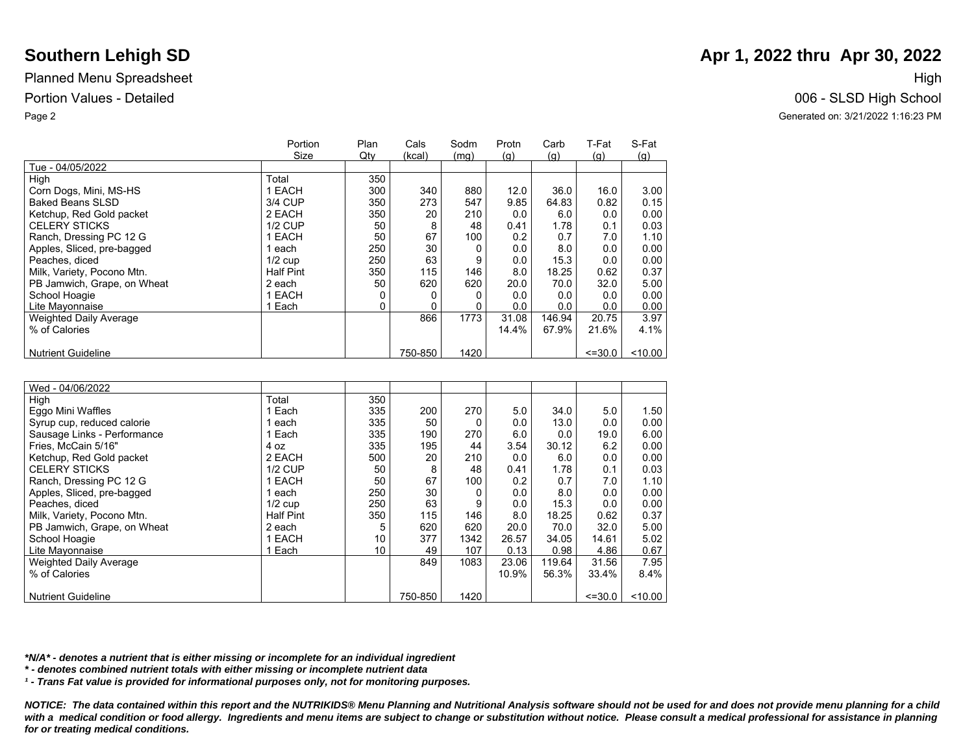|                               | Portion          | Plan | Cals    | Sodm | Protn | Carb   | T-Fat       | S-Fat   |
|-------------------------------|------------------|------|---------|------|-------|--------|-------------|---------|
|                               | Size             | Qtv  | (kcal)  | (mq) | (q)   | (q)    | (q)         | (q)     |
| Tue - 04/05/2022              |                  |      |         |      |       |        |             |         |
| High                          | Total            | 350  |         |      |       |        |             |         |
| Corn Dogs, Mini, MS-HS        | <b>EACH</b>      | 300  | 340     | 880  | 12.0  | 36.0   | 16.0        | 3.00    |
| Baked Beans SLSD              | 3/4 CUP          | 350  | 273     | 547  | 9.85  | 64.83  | 0.82        | 0.15    |
| Ketchup, Red Gold packet      | 2 EACH           | 350  | 20      | 210  | 0.0   | 6.0    | 0.0         | 0.00    |
| <b>CELERY STICKS</b>          | <b>1/2 CUP</b>   | 50   | 8       | 48   | 0.41  | 1.78   | 0.1         | 0.03    |
| Ranch, Dressing PC 12 G       | <b>EACH</b>      | 50   | 67      | 100  | 0.2   | 0.7    | 7.0         | 1.10    |
| Apples, Sliced, pre-bagged    | each             | 250  | 30      |      | 0.0   | 8.0    | 0.0         | 0.00    |
| Peaches, diced                | $1/2$ cup        | 250  | 63      | 9    | 0.0   | 15.3   | 0.0         | 0.00    |
| Milk, Variety, Pocono Mtn.    | <b>Half Pint</b> | 350  | 115     | 146  | 8.0   | 18.25  | 0.62        | 0.37    |
| PB Jamwich, Grape, on Wheat   | 2 each           | 50   | 620     | 620  | 20.0  | 70.0   | 32.0        | 5.00    |
| School Hoagie                 | <b>EACH</b>      |      |         |      | 0.0   | 0.0    | 0.0         | 0.00    |
| Lite Mayonnaise               | Each             | 0    |         |      | 0.0   | 0.0    | 0.0         | 0.00    |
| <b>Weighted Daily Average</b> |                  |      | 866     | 1773 | 31.08 | 146.94 | 20.75       | 3.97    |
| % of Calories                 |                  |      |         |      | 14.4% | 67.9%  | 21.6%       | 4.1%    |
|                               |                  |      |         |      |       |        |             |         |
| <b>Nutrient Guideline</b>     |                  |      | 750-850 | 1420 |       |        | $\leq 30.0$ | < 10.00 |

| Wed - 04/06/2022            |                  |     |         |      |       |        |             |         |
|-----------------------------|------------------|-----|---------|------|-------|--------|-------------|---------|
| High                        | Total            | 350 |         |      |       |        |             |         |
| Eggo Mini Waffles           | Each             | 335 | 200     | 270  | 5.0   | 34.0   | 5.0         | 1.50    |
| Syrup cup, reduced calorie  | each             | 335 | 50      | 0    | 0.0   | 13.0   | 0.0         | 0.00    |
| Sausage Links - Performance | 1 Each           | 335 | 190     | 270  | 6.0   | 0.0    | 19.0        | 6.00    |
| Fries, McCain 5/16"         | 4 oz             | 335 | 195     | 44   | 3.54  | 30.12  | 6.2         | 0.00    |
| Ketchup, Red Gold packet    | 2 EACH           | 500 | 20      | 210  | 0.0   | 6.0    | 0.0         | 0.00    |
| <b>CELERY STICKS</b>        | $1/2$ CUP        | 50  | 8       | 48   | 0.41  | 1.78   | 0.1         | 0.03    |
| Ranch, Dressing PC 12 G     | 1 EACH           | 50  | 67      | 100  | 0.2   | 0.7    | 7.0         | 1.10    |
| Apples, Sliced, pre-bagged  | 1 each           | 250 | 30      | 0    | 0.0   | 8.0    | 0.0         | 0.00    |
| Peaches, diced              | $1/2$ cup        | 250 | 63      | 9    | 0.0   | 15.3   | 0.0         | 0.00    |
| Milk, Variety, Pocono Mtn.  | <b>Half Pint</b> | 350 | 115     | 146  | 8.0   | 18.25  | 0.62        | 0.37    |
| PB Jamwich, Grape, on Wheat | 2 each           | 5   | 620     | 620  | 20.0  | 70.0   | 32.0        | 5.00    |
| School Hoagie               | 1 EACH           | 10  | 377     | 1342 | 26.57 | 34.05  | 14.61       | 5.02    |
| Lite Mayonnaise             | 1 Each           | 10  | 49      | 107  | 0.13  | 0.98   | 4.86        | 0.67    |
| Weighted Daily Average      |                  |     | 849     | 1083 | 23.06 | 119.64 | 31.56       | 7.95    |
| % of Calories               |                  |     |         |      | 10.9% | 56.3%  | 33.4%       | 8.4%    |
|                             |                  |     |         |      |       |        |             |         |
| <b>Nutrient Guideline</b>   |                  |     | 750-850 | 1420 |       |        | $\leq 30.0$ | < 10.00 |

*\*N/A\* - denotes a nutrient that is either missing or incomplete for an individual ingredient*

*\* - denotes combined nutrient totals with either missing or incomplete nutrient data*

*¹ - Trans Fat value is provided for informational purposes only, not for monitoring purposes.*

*NOTICE: The data contained within this report and the NUTRIKIDS® Menu Planning and Nutritional Analysis software should not be used for and does not provide menu planning for a child*  with a medical condition or food allergy. Ingredients and menu items are subject to change or substitution without notice. Please consult a medical professional for assistance in planning *for or treating medical conditions.*

# **Southern Lehigh SD Apr 1, 2022 thru Apr 30, 2022 Apr 1, 2022 thru Apr 30, 2022**

Portion Values - Detailed 006 - SLSD High School Page 2 Generated on: 3/21/2022 1:16:23 PM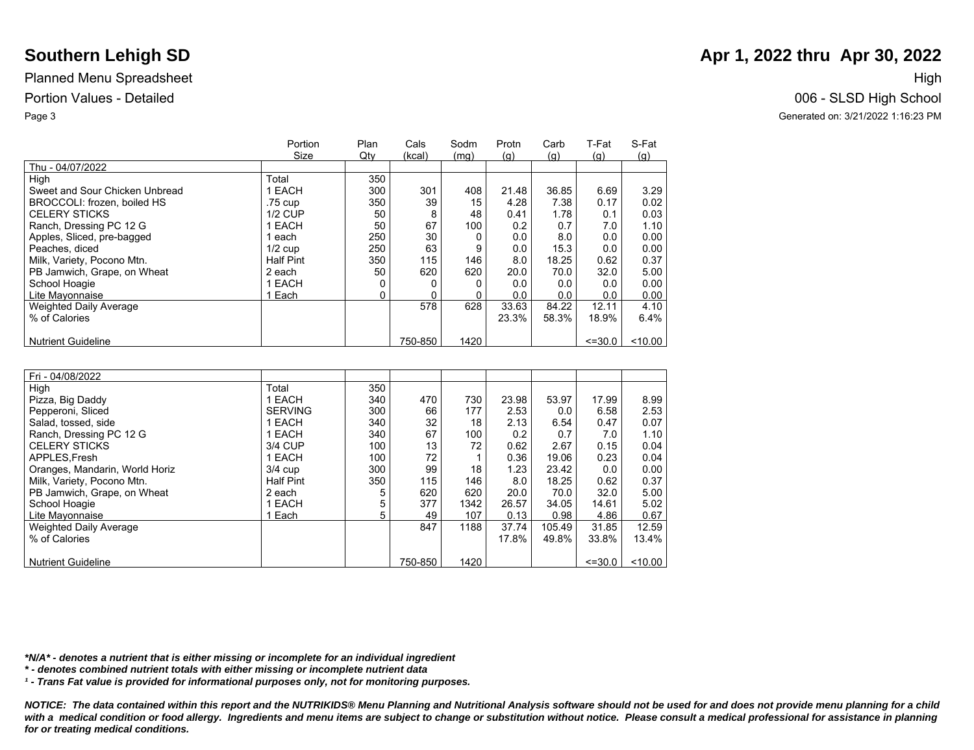|                                | Portion          | Plan | Cals    | Sodm | Protn | Carb  | T-Fat             | S-Fat     |
|--------------------------------|------------------|------|---------|------|-------|-------|-------------------|-----------|
|                                | Size             | Qty  | (kcal)  | (mq) | (q)   | (q)   | $\left( q\right)$ | (g)       |
| Thu - 04/07/2022               |                  |      |         |      |       |       |                   |           |
| High                           | Total            | 350  |         |      |       |       |                   |           |
| Sweet and Sour Chicken Unbread | 1 EACH           | 300  | 301     | 408  | 21.48 | 36.85 | 6.69              | 3.29      |
| BROCCOLI: frozen, boiled HS    | .75 cup          | 350  | 39      | 15   | 4.28  | 7.38  | 0.17              | 0.02      |
| <b>CELERY STICKS</b>           | <b>1/2 CUP</b>   | 50   | 8       | 48   | 0.41  | 1.78  | 0.1               | 0.03      |
| Ranch, Dressing PC 12 G        | 1 EACH           | 50   | 67      | 100  | 0.2   | 0.7   | 7.0               | 1.10      |
| Apples, Sliced, pre-bagged     | each             | 250  | 30      |      | 0.0   | 8.0   | 0.0               | 0.00      |
| Peaches, diced                 | $1/2$ cup        | 250  | 63      | 9    | 0.0   | 15.3  | 0.0               | 0.00      |
| Milk, Variety, Pocono Mtn.     | <b>Half Pint</b> | 350  | 115     | 146  | 8.0   | 18.25 | 0.62              | 0.37      |
| PB Jamwich, Grape, on Wheat    | 2 each           | 50   | 620     | 620  | 20.0  | 70.0  | 32.0              | 5.00      |
| School Hoagie                  | 1 EACH           | 0    |         |      | 0.0   | 0.0   | 0.0               | 0.00      |
| Lite Mayonnaise                | 1 Each           | 0    |         |      | 0.0   | 0.0   | 0.0               | 0.00      |
| <b>Weighted Daily Average</b>  |                  |      | 578     | 628  | 33.63 | 84.22 | 12.11             | 4.10      |
| % of Calories                  |                  |      |         |      | 23.3% | 58.3% | 18.9%             | 6.4%      |
|                                |                  |      |         |      |       |       |                   |           |
| <b>Nutrient Guideline</b>      |                  |      | 750-850 | 1420 |       |       | $\leq 30.0$       | $<$ 10.00 |

| Fri - 04/08/2022               |                  |     |         |      |       |        |             |       |
|--------------------------------|------------------|-----|---------|------|-------|--------|-------------|-------|
| High                           | Total            | 350 |         |      |       |        |             |       |
| Pizza, Big Daddy               | 1 EACH           | 340 | 470     | 730  | 23.98 | 53.97  | 17.99       | 8.99  |
| Pepperoni, Sliced              | <b>SERVING</b>   | 300 | 66      | 177  | 2.53  | 0.0    | 6.58        | 2.53  |
| Salad, tossed, side            | 1 EACH           | 340 | 32      | 18   | 2.13  | 6.54   | 0.47        | 0.07  |
| Ranch, Dressing PC 12 G        | 1 EACH           | 340 | 67      | 100  | 0.2   | 0.7    | 7.0         | 1.10  |
| <b>CELERY STICKS</b>           | 3/4 CUP          | 100 | 13      | 72   | 0.62  | 2.67   | 0.15        | 0.04  |
| APPLES.Fresh                   | 1 EACH           | 100 | 72      |      | 0.36  | 19.06  | 0.23        | 0.04  |
| Oranges, Mandarin, World Horiz | $3/4$ cup        | 300 | 99      | 18   | 1.23  | 23.42  | 0.0         | 0.00  |
| Milk, Variety, Pocono Mtn.     | <b>Half Pint</b> | 350 | 115     | 146  | 8.0   | 18.25  | 0.62        | 0.37  |
| PB Jamwich, Grape, on Wheat    | 2 each           | 5   | 620     | 620  | 20.0  | 70.0   | 32.0        | 5.00  |
| School Hoagie                  | 1 EACH           | 5   | 377     | 1342 | 26.57 | 34.05  | 14.61       | 5.02  |
| Lite Mayonnaise                | 1 Each           | 5   | 49      | 107  | 0.13  | 0.98   | 4.86        | 0.67  |
| <b>Weighted Daily Average</b>  |                  |     | 847     | 1188 | 37.74 | 105.49 | 31.85       | 12.59 |
| % of Calories                  |                  |     |         |      | 17.8% | 49.8%  | 33.8%       | 13.4% |
|                                |                  |     |         |      |       |        |             |       |
| <b>Nutrient Guideline</b>      |                  |     | 750-850 | 1420 |       |        | $\leq 30.0$ | 10.00 |

*\*N/A\* - denotes a nutrient that is either missing or incomplete for an individual ingredient*

*\* - denotes combined nutrient totals with either missing or incomplete nutrient data*

*¹ - Trans Fat value is provided for informational purposes only, not for monitoring purposes.*

*NOTICE: The data contained within this report and the NUTRIKIDS® Menu Planning and Nutritional Analysis software should not be used for and does not provide menu planning for a child*  with a medical condition or food allergy. Ingredients and menu items are subject to change or substitution without notice. Please consult a medical professional for assistance in planning *for or treating medical conditions.*

## **Southern Lehigh SD Apr 1, 2022 thru Apr 30, 2022 Apr 1, 2022 thru Apr 30, 2022**

Portion Values - Detailed 006 - SLSD High School Page 3 Generated on: 3/21/2022 1:16:23 PM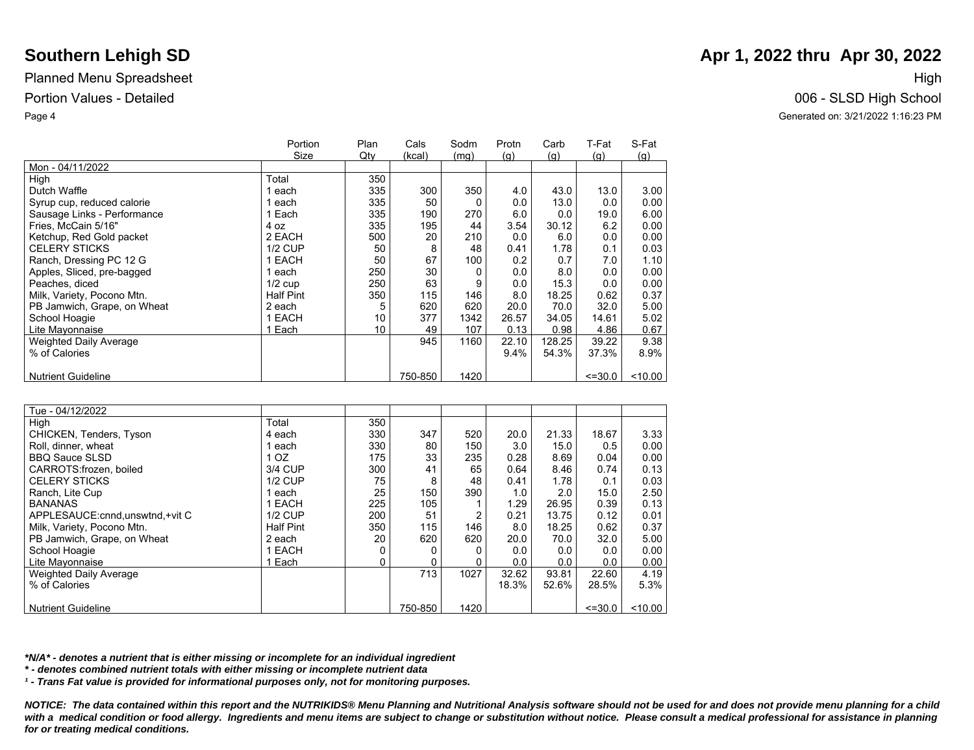|                               | Portion          | Plan | Cals    | Sodm | Protn      | Carb       | T-Fat       | S-Fat |
|-------------------------------|------------------|------|---------|------|------------|------------|-------------|-------|
|                               | Size             | Qty  | (kcal)  | (mq) | <u>(g)</u> | <u>(g)</u> | (q)         | (g)   |
| Mon - 04/11/2022              |                  |      |         |      |            |            |             |       |
| High                          | Total            | 350  |         |      |            |            |             |       |
| Dutch Waffle                  | each             | 335  | 300     | 350  | 4.0        | 43.0       | 13.0        | 3.00  |
| Syrup cup, reduced calorie    | 1 each           | 335  | 50      |      | 0.0        | 13.0       | 0.0         | 0.00  |
| Sausage Links - Performance   | 1 Each           | 335  | 190     | 270  | 6.0        | 0.0        | 19.0        | 6.00  |
| Fries. McCain 5/16"           | 4 oz             | 335  | 195     | 44   | 3.54       | 30.12      | 6.2         | 0.00  |
| Ketchup, Red Gold packet      | 2 EACH           | 500  | 20      | 210  | 0.0        | 6.0        | 0.0         | 0.00  |
| <b>CELERY STICKS</b>          | <b>1/2 CUP</b>   | 50   | 8       | 48   | 0.41       | 1.78       | 0.1         | 0.03  |
| Ranch, Dressing PC 12 G       | 1 EACH           | 50   | 67      | 100  | 0.2        | 0.7        | 7.0         | 1.10  |
| Apples, Sliced, pre-bagged    | 1 each           | 250  | 30      |      | 0.0        | 8.0        | 0.0         | 0.00  |
| Peaches, diced                | $1/2$ cup        | 250  | 63      | 9    | 0.0        | 15.3       | 0.0         | 0.00  |
| Milk, Variety, Pocono Mtn.    | <b>Half Pint</b> | 350  | 115     | 146  | 8.0        | 18.25      | 0.62        | 0.37  |
| PB Jamwich, Grape, on Wheat   | 2 each           | 5    | 620     | 620  | 20.0       | 70.0       | 32.0        | 5.00  |
| School Hoagie                 | 1 EACH           | 10   | 377     | 1342 | 26.57      | 34.05      | 14.61       | 5.02  |
| Lite Mayonnaise               | 1 Each           | 10   | 49      | 107  | 0.13       | 0.98       | 4.86        | 0.67  |
| <b>Weighted Daily Average</b> |                  |      | 945     | 1160 | 22.10      | 128.25     | 39.22       | 9.38  |
| % of Calories                 |                  |      |         |      | 9.4%       | 54.3%      | 37.3%       | 8.9%  |
|                               |                  |      |         |      |            |            |             |       |
| <b>Nutrient Guideline</b>     |                  |      | 750-850 | 1420 |            |            | $\leq 30.0$ | 10.00 |

| Tue - 04/12/2022                  |                  |     |         |                |       |       |             |         |
|-----------------------------------|------------------|-----|---------|----------------|-------|-------|-------------|---------|
| High                              | Total            | 350 |         |                |       |       |             |         |
| CHICKEN, Tenders, Tyson           | 4 each           | 330 | 347     | 520            | 20.0  | 21.33 | 18.67       | 3.33    |
| Roll, dinner, wheat               | each             | 330 | 80      | 150            | 3.0   | 15.0  | 0.5         | 0.00    |
| <b>BBQ Sauce SLSD</b>             | 1 <sub>OZ</sub>  | 175 | 33      | 235            | 0.28  | 8.69  | 0.04        | 0.00    |
| CARROTS: frozen. boiled           | 3/4 CUP          | 300 | 41      | 65             | 0.64  | 8.46  | 0.74        | 0.13    |
| <b>CELERY STICKS</b>              | <b>1/2 CUP</b>   | 75  | 8       | 48             | 0.41  | 1.78  | 0.1         | 0.03    |
| Ranch, Lite Cup                   | 1 each           | 25  | 150     | 390            | 1.0   | 2.0   | 15.0        | 2.50    |
| <b>BANANAS</b>                    | 1 EACH           | 225 | 105     |                | 1.29  | 26.95 | 0.39        | 0.13    |
| APPLESAUCE: cnnd, unswtnd, +vit C | $1/2$ CUP        | 200 | 51      | $\overline{2}$ | 0.21  | 13.75 | 0.12        | 0.01    |
| Milk, Variety, Pocono Mtn.        | <b>Half Pint</b> | 350 | 115     | 146            | 8.0   | 18.25 | 0.62        | 0.37    |
| PB Jamwich, Grape, on Wheat       | 2 each           | 20  | 620     | 620            | 20.0  | 70.0  | 32.0        | 5.00    |
| School Hoagie                     | 1 EACH           | 0   |         |                | 0.0   | 0.0   | 0.0         | 0.00    |
| Lite Mayonnaise                   | Each             | 0   |         |                | 0.0   | 0.0   | 0.0         | 0.00    |
| <b>Weighted Daily Average</b>     |                  |     | 713     | 1027           | 32.62 | 93.81 | 22.60       | 4.19    |
| % of Calories                     |                  |     |         |                | 18.3% | 52.6% | 28.5%       | 5.3%    |
|                                   |                  |     |         |                |       |       |             |         |
| <b>Nutrient Guideline</b>         |                  |     | 750-850 | 1420           |       |       | $\leq 30.0$ | < 10.00 |

*\*N/A\* - denotes a nutrient that is either missing or incomplete for an individual ingredient*

*\* - denotes combined nutrient totals with either missing or incomplete nutrient data*

*¹ - Trans Fat value is provided for informational purposes only, not for monitoring purposes.*

*NOTICE: The data contained within this report and the NUTRIKIDS® Menu Planning and Nutritional Analysis software should not be used for and does not provide menu planning for a child*  with a medical condition or food allergy. Ingredients and menu items are subject to change or substitution without notice. Please consult a medical professional for assistance in planning *for or treating medical conditions.*

# **Southern Lehigh SD Apr 1, 2022 thru Apr 30, 2022 Apr 1, 2022 thru Apr 30, 2022**

Portion Values - Detailed 006 - SLSD High School Page 4 Generated on: 3/21/2022 1:16:23 PM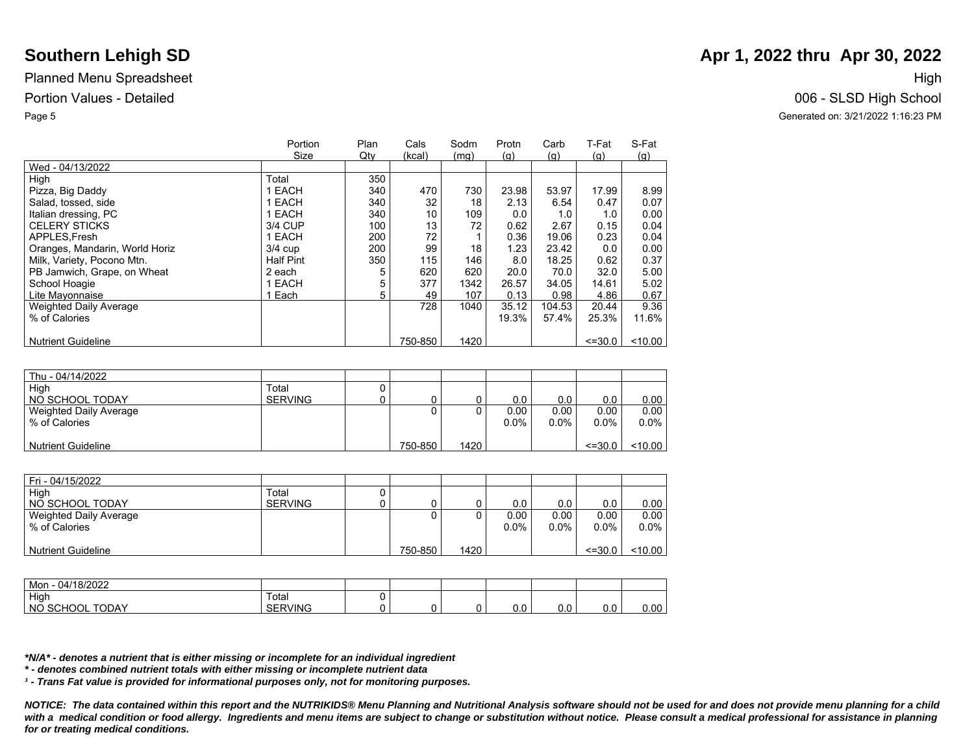|                                | Portion          | Plan | Cals    | Sodm | Protn | Carb   | T-Fat       | S-Fat      |
|--------------------------------|------------------|------|---------|------|-------|--------|-------------|------------|
|                                | Size             | Qty  | (kcal)  | (mq) | (g)   | (q)    | (g)         | <u>(g)</u> |
| Wed - 04/13/2022               |                  |      |         |      |       |        |             |            |
| High                           | Total            | 350  |         |      |       |        |             |            |
| Pizza, Big Daddy               | 1 EACH           | 340  | 470     | 730  | 23.98 | 53.97  | 17.99       | 8.99       |
| Salad, tossed, side            | 1 EACH           | 340  | 32      | 18   | 2.13  | 6.54   | 0.47        | 0.07       |
| Italian dressing, PC           | 1 EACH           | 340  | 10      | 109  | 0.0   | 1.0    | 1.0         | 0.00       |
| <b>CELERY STICKS</b>           | 3/4 CUP          | 100  | 13      | 72   | 0.62  | 2.67   | 0.15        | 0.04       |
| APPLES, Fresh                  | 1 EACH           | 200  | 72      |      | 0.36  | 19.06  | 0.23        | 0.04       |
| Oranges, Mandarin, World Horiz | $3/4$ cup        | 200  | 99      | 18   | 1.23  | 23.42  | 0.0         | 0.00       |
| Milk, Variety, Pocono Mtn.     | <b>Half Pint</b> | 350  | 115     | 146  | 8.0   | 18.25  | 0.62        | 0.37       |
| PB Jamwich, Grape, on Wheat    | 2 each           |      | 620     | 620  | 20.0  | 70.0   | 32.0        | 5.00       |
| School Hoagie                  | 1 EACH           | 5    | 377     | 1342 | 26.57 | 34.05  | 14.61       | 5.02       |
| Lite Mayonnaise                | Each             | 5    | 49      | 107  | 0.13  | 0.98   | 4.86        | 0.67       |
| <b>Weighted Daily Average</b>  |                  |      | 728     | 1040 | 35.12 | 104.53 | 20.44       | 9.36       |
| % of Calories                  |                  |      |         |      | 19.3% | 57.4%  | 25.3%       | 11.6%      |
|                                |                  |      |         |      |       |        |             |            |
| <b>Nutrient Guideline</b>      |                  |      | 750-850 | 1420 |       |        | $\leq 30.0$ | $<$ 10.00  |
|                                |                  |      |         |      |       |        |             |            |

| Thu - 04/14/2022          |                |   |         |      |         |         |             |           |
|---------------------------|----------------|---|---------|------|---------|---------|-------------|-----------|
| High                      | Total          | υ |         |      |         |         |             |           |
| NO SCHOOL TODAY           | <b>SERVING</b> |   |         |      | 0.0     | 0.0     | 0.0         | 0.00      |
| Weighted Daily Average    |                |   |         |      | 0.00    | 0.00    | 0.00        | 0.00      |
| % of Calories             |                |   |         |      | $0.0\%$ | $0.0\%$ | $0.0\%$     | $0.0\%$   |
|                           |                |   |         |      |         |         |             |           |
| <b>Nutrient Guideline</b> |                |   | 750-850 | 1420 |         |         | $\le$ =30.0 | $<$ 10.00 |

| Fri - 04/15/2022          |                |         |      |         |         |             |           |
|---------------------------|----------------|---------|------|---------|---------|-------------|-----------|
| High                      | Total          |         |      |         |         |             |           |
| NO SCHOOL TODAY           | <b>SERVING</b> |         |      | 0.0     | 0.0     | 0.0         | 0.00      |
| Weighted Daily Average    |                | 0       |      | 0.00    | 0.00    | 0.00        | 0.00      |
| % of Calories             |                |         |      | $0.0\%$ | $0.0\%$ | $0.0\%$     | $0.0\%$   |
|                           |                |         |      |         |         |             |           |
| <b>Nutrient Guideline</b> |                | 750-850 | 1420 |         |         | $\le$ =30.0 | $<$ 10.00 |

| 18/2022<br>Mon<br>U4.<br>18/2022                |                   |  |     |     |     |      |
|-------------------------------------------------|-------------------|--|-----|-----|-----|------|
| High                                            | Totai             |  |     |     |     |      |
| $T$ $\cap$ $\cap$<br>NO<br>≏HOOL.<br>50<br>UDAY | /ING<br>ОI<br>. . |  | v.v | 0.0 | 0.0 | 0.00 |

*\*N/A\* - denotes a nutrient that is either missing or incomplete for an individual ingredient*

*\* - denotes combined nutrient totals with either missing or incomplete nutrient data*

*¹ - Trans Fat value is provided for informational purposes only, not for monitoring purposes.*

*NOTICE: The data contained within this report and the NUTRIKIDS® Menu Planning and Nutritional Analysis software should not be used for and does not provide menu planning for a child*  with a medical condition or food allergy. Ingredients and menu items are subject to change or substitution without notice. Please consult a medical professional for assistance in planning *for or treating medical conditions.*

# **Southern Lehigh SD Apr 1, 2022 thru Apr 30, 2022 Apr 1, 2022 thru Apr 30, 2022**

## Portion Values - Detailed 006 - SLSD High School Page 5 Generated on: 3/21/2022 1:16:23 PM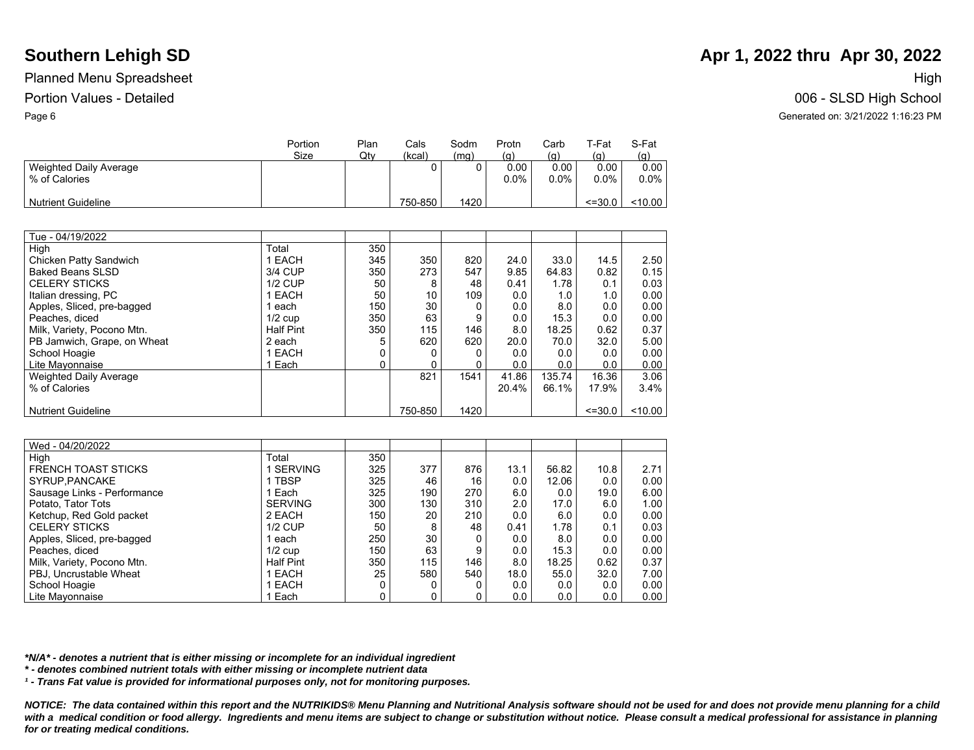|                                         | Portion<br>Size | Plan<br>Qtv | Cals<br>(kcal) | Sodm<br>(mq) | Protn<br><u>(g)</u> | Carb<br>$\left( 9\right)$ | T-Fat<br><u>(a)</u> | S-Fat<br>(g)    |
|-----------------------------------------|-----------------|-------------|----------------|--------------|---------------------|---------------------------|---------------------|-----------------|
| Weighted Daily Average<br>% of Calories |                 |             |                |              | 0.00<br>$0.0\%$     | 0.00<br>$0.0\%$           | 0.00<br>$0.0\%$     | 0.00<br>$0.0\%$ |
| <b>Nutrient Guideline</b>               |                 |             | 750-850        | 1420         |                     |                           | $\leq 30.0$         | <10.00          |

| Tue - 04/19/2022            |                  |     |         |      |       |        |             |       |
|-----------------------------|------------------|-----|---------|------|-------|--------|-------------|-------|
| High                        | Total            | 350 |         |      |       |        |             |       |
| Chicken Patty Sandwich      | 1 EACH           | 345 | 350     | 820  | 24.0  | 33.0   | 14.5        | 2.50  |
| <b>Baked Beans SLSD</b>     | 3/4 CUP          | 350 | 273     | 547  | 9.85  | 64.83  | 0.82        | 0.15  |
| <b>CELERY STICKS</b>        | <b>1/2 CUP</b>   | 50  | 8       | 48   | 0.41  | 1.78   | 0.1         | 0.03  |
| Italian dressing, PC        | 1 EACH           | 50  | 10      | 109  | 0.0   | 1.0    | 1.0         | 0.00  |
| Apples, Sliced, pre-bagged  | 1 each           | 150 | 30      |      | 0.0   | 8.0    | 0.0         | 0.00  |
| Peaches, diced              | $1/2$ cup        | 350 | 63      | 9    | 0.0   | 15.3   | 0.0         | 0.00  |
| Milk, Variety, Pocono Mtn.  | <b>Half Pint</b> | 350 | 115     | 146  | 8.0   | 18.25  | 0.62        | 0.37  |
| PB Jamwich, Grape, on Wheat | 2 each           |     | 620     | 620  | 20.0  | 70.0   | 32.0        | 5.00  |
| School Hoagie               | 1 EACH           |     |         |      | 0.0   | 0.0    | 0.0         | 0.00  |
| Lite Mayonnaise             | 1 Each           | 0   |         |      | 0.0   | 0.0    | 0.0         | 0.00  |
| Weighted Daily Average      |                  |     | 821     | 1541 | 41.86 | 135.74 | 16.36       | 3.06  |
| % of Calories               |                  |     |         |      | 20.4% | 66.1%  | 17.9%       | 3.4%  |
|                             |                  |     |         |      |       |        |             |       |
| <b>Nutrient Guideline</b>   |                  |     | 750-850 | 1420 |       |        | $\leq 30.0$ | 10.00 |

| Wed - 04/20/2022            |                  |     |     |     |      |       |      |      |
|-----------------------------|------------------|-----|-----|-----|------|-------|------|------|
| High                        | Total            | 350 |     |     |      |       |      |      |
| <b>FRENCH TOAST STICKS</b>  | <b>SERVING</b>   | 325 | 377 | 876 | 13.1 | 56.82 | 10.8 | 2.71 |
| SYRUP, PANCAKE              | 1 TBSP           | 325 | 46  | 16  | 0.0  | 12.06 | 0.0  | 0.00 |
| Sausage Links - Performance | 1 Each           | 325 | 190 | 270 | 6.0  | 0.0   | 19.0 | 6.00 |
| Potato, Tator Tots          | <b>SERVING</b>   | 300 | 130 | 310 | 2.0  | 17.0  | 6.0  | 1.00 |
| Ketchup, Red Gold packet    | 2 EACH           | 150 | 20  | 210 | 0.0  | 6.0   | 0.0  | 0.00 |
| <b>CELERY STICKS</b>        | $1/2$ CUP        | 50  | 8   | 48  | 0.41 | 1.78  | 0.1  | 0.03 |
| Apples, Sliced, pre-bagged  | 1 each           | 250 | 30  | 0   | 0.0  | 8.0   | 0.0  | 0.00 |
| Peaches, diced              | $1/2$ cup        | 150 | 63  | 9   | 0.0  | 15.3  | 0.0  | 0.00 |
| Milk, Variety, Pocono Mtn.  | <b>Half Pint</b> | 350 | 115 | 146 | 8.0  | 18.25 | 0.62 | 0.37 |
| PBJ, Uncrustable Wheat      | 1 EACH           | 25  | 580 | 540 | 18.0 | 55.0  | 32.0 | 7.00 |
| School Hoagie               | 1 EACH           |     |     | 0   | 0.0  | 0.0   | 0.0  | 0.00 |
| Lite Mavonnaise             | 1 Each           |     |     | 0   | 0.0  | 0.0   | 0.0  | 0.00 |

*\*N/A\* - denotes a nutrient that is either missing or incomplete for an individual ingredient*

*\* - denotes combined nutrient totals with either missing or incomplete nutrient data*

*¹ - Trans Fat value is provided for informational purposes only, not for monitoring purposes.*

*NOTICE: The data contained within this report and the NUTRIKIDS® Menu Planning and Nutritional Analysis software should not be used for and does not provide menu planning for a child*  with a medical condition or food allergy. Ingredients and menu items are subject to change or substitution without notice. Please consult a medical professional for assistance in planning *for or treating medical conditions.*

# **Southern Lehigh SD Apr 1, 2022 thru Apr 30, 2022 Apr 1, 2022 thru Apr 30, 2022**

Portion Values - Detailed 006 - SLSD High School Page 6 Generated on: 3/21/2022 1:16:23 PM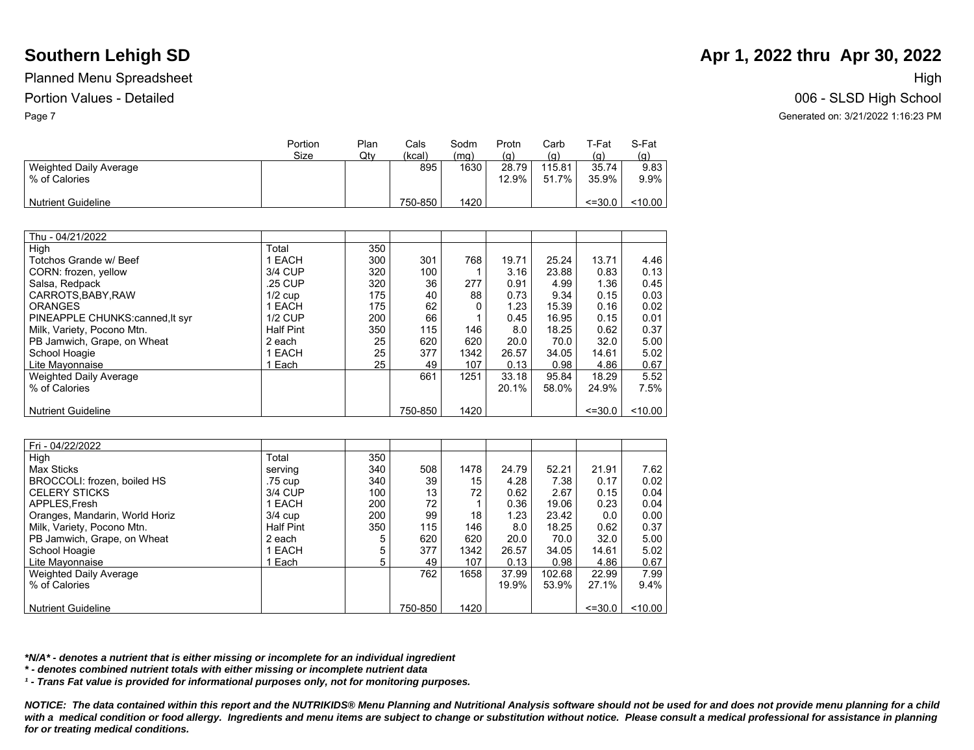|                                         | Portion | Plan | Cals    | Sodm | Protn             | Carb              | ⊤-Fat          | S-Fat           |
|-----------------------------------------|---------|------|---------|------|-------------------|-------------------|----------------|-----------------|
|                                         | Size    | Qty  | (kcal)  | (mq) | <u>(a)</u>        | $\left( q\right)$ | <u>(g)</u>     | (g)             |
| Weighted Daily Average<br>% of Calories |         |      | 895     | 1630 | 28.79<br>$12.9\%$ | 115.81<br>51.7%   | 35.74<br>35.9% | 9.83<br>$9.9\%$ |
| <b>Nutrient Guideline</b>               |         |      | 750-850 | 1420 |                   |                   | $\leq 30.0$    | < 10.00         |

| Thu - 04/21/2022               |                  |     |         |      |       |       |             |           |
|--------------------------------|------------------|-----|---------|------|-------|-------|-------------|-----------|
| High                           | Total            | 350 |         |      |       |       |             |           |
| Totchos Grande w/ Beef         | 1 EACH           | 300 | 301     | 768  | 19.71 | 25.24 | 13.71       | 4.46      |
| CORN: frozen, yellow           | 3/4 CUP          | 320 | 100     |      | 3.16  | 23.88 | 0.83        | 0.13      |
| Salsa, Redpack                 | .25 CUP          | 320 | 36      | 277  | 0.91  | 4.99  | 1.36        | 0.45      |
| CARROTS, BABY, RAW             | $1/2$ cup        | 175 | 40      | 88   | 0.73  | 9.34  | 0.15        | 0.03      |
| <b>ORANGES</b>                 | 1 EACH           | 175 | 62      |      | 1.23  | 15.39 | 0.16        | 0.02      |
| PINEAPPLE CHUNKS:canned.lt syr | <b>1/2 CUP</b>   | 200 | 66      |      | 0.45  | 16.95 | 0.15        | 0.01      |
| Milk, Variety, Pocono Mtn.     | <b>Half Pint</b> | 350 | 115     | 146  | 8.0   | 18.25 | 0.62        | 0.37      |
| PB Jamwich, Grape, on Wheat    | 2 each           | 25  | 620     | 620  | 20.0  | 70.0  | 32.0        | 5.00      |
| School Hoagie                  | 1 EACH           | 25  | 377     | 1342 | 26.57 | 34.05 | 14.61       | 5.02      |
| Lite Mayonnaise                | Each             | 25  | 49      | 107  | 0.13  | 0.98  | 4.86        | 0.67      |
| <b>Weighted Daily Average</b>  |                  |     | 661     | 1251 | 33.18 | 95.84 | 18.29       | 5.52      |
| % of Calories                  |                  |     |         |      | 20.1% | 58.0% | 24.9%       | 7.5%      |
|                                |                  |     |         |      |       |       |             |           |
| <b>Nutrient Guideline</b>      |                  |     | 750-850 | 1420 |       |       | $\leq 30.0$ | $<$ 10.00 |

| Fri - 04/22/2022               |                  |     |         |      |       |        |             |       |
|--------------------------------|------------------|-----|---------|------|-------|--------|-------------|-------|
| High                           | Total            | 350 |         |      |       |        |             |       |
| Max Sticks                     | serving          | 340 | 508     | 1478 | 24.79 | 52.21  | 21.91       | 7.62  |
| BROCCOLI: frozen, boiled HS    | .75 cup          | 340 | 39      | 15   | 4.28  | 7.38   | 0.17        | 0.02  |
| <b>CELERY STICKS</b>           | 3/4 CUP          | 100 | 13      | 72   | 0.62  | 2.67   | 0.15        | 0.04  |
| APPLES.Fresh                   | 1 EACH           | 200 | 72      |      | 0.36  | 19.06  | 0.23        | 0.04  |
| Oranges, Mandarin, World Horiz | $3/4$ cup        | 200 | 99      | 18   | 1.23  | 23.42  | 0.0         | 0.00  |
| Milk, Variety, Pocono Mtn.     | <b>Half Pint</b> | 350 | 115     | 146  | 8.0   | 18.25  | 0.62        | 0.37  |
| PB Jamwich, Grape, on Wheat    | 2 each           |     | 620     | 620  | 20.0  | 70.0   | 32.0        | 5.00  |
| School Hoagie                  | EACH             | 5   | 377     | 1342 | 26.57 | 34.05  | 14.61       | 5.02  |
| Lite Mavonnaise                | Each             | 5   | 49      | 107  | 0.13  | 0.98   | 4.86        | 0.67  |
| Weighted Daily Average         |                  |     | 762     | 1658 | 37.99 | 102.68 | 22.99       | 7.99  |
| % of Calories                  |                  |     |         |      | 19.9% | 53.9%  | 27.1%       | 9.4%  |
|                                |                  |     |         |      |       |        |             |       |
| <b>Nutrient Guideline</b>      |                  |     | 750-850 | 1420 |       |        | $\leq 30.0$ | 10.00 |

*\*N/A\* - denotes a nutrient that is either missing or incomplete for an individual ingredient*

*\* - denotes combined nutrient totals with either missing or incomplete nutrient data*

*¹ - Trans Fat value is provided for informational purposes only, not for monitoring purposes.*

*NOTICE: The data contained within this report and the NUTRIKIDS® Menu Planning and Nutritional Analysis software should not be used for and does not provide menu planning for a child*  with a medical condition or food allergy. Ingredients and menu items are subject to change or substitution without notice. Please consult a medical professional for assistance in planning *for or treating medical conditions.*

# **Southern Lehigh SD Apr 1, 2022 thru Apr 30, 2022 Apr 1, 2022 thru Apr 30, 2022**

Portion Values - Detailed 006 - SLSD High School Page 7 Generated on: 3/21/2022 1:16:23 PM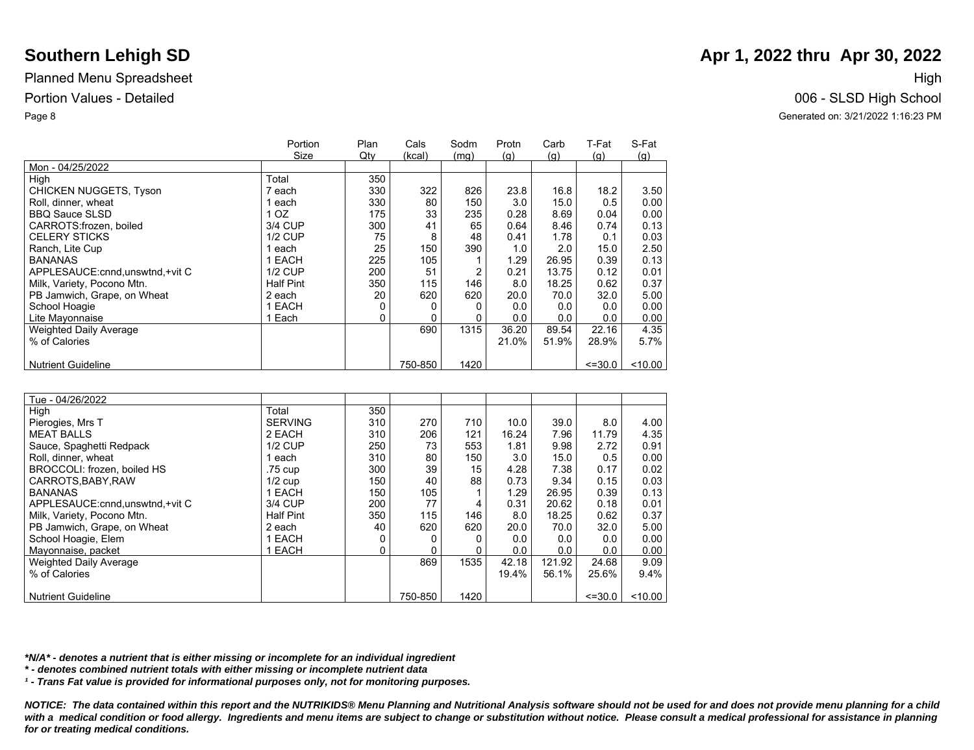|                                   | Portion          | Plan | Cals    | Sodm | Protn | Carb  | T-Fat       | S-Fat   |
|-----------------------------------|------------------|------|---------|------|-------|-------|-------------|---------|
|                                   | Size             | Qtv  | (kcal)  | (mq) | (q)   | (q)   | (q)         | (q)     |
| Mon - 04/25/2022                  |                  |      |         |      |       |       |             |         |
| High                              | Total            | 350  |         |      |       |       |             |         |
| <b>CHICKEN NUGGETS, Tyson</b>     | 7 each           | 330  | 322     | 826  | 23.8  | 16.8  | 18.2        | 3.50    |
| Roll, dinner, wheat               | 1 each           | 330  | 80      | 150  | 3.0   | 15.0  | 0.5         | 0.00    |
| <b>BBQ Sauce SLSD</b>             | 1 OZ             | 175  | 33      | 235  | 0.28  | 8.69  | 0.04        | 0.00    |
| CARROTS: frozen. boiled           | 3/4 CUP          | 300  | 41      | 65   | 0.64  | 8.46  | 0.74        | 0.13    |
| <b>CELERY STICKS</b>              | $1/2$ CUP        | 75   | 8       | 48   | 0.41  | 1.78  | 0.1         | 0.03    |
| Ranch, Lite Cup                   | 1 each           | 25   | 150     | 390  | 1.0   | 2.0   | 15.0        | 2.50    |
| <b>BANANAS</b>                    | 1 EACH           | 225  | 105     |      | 1.29  | 26.95 | 0.39        | 0.13    |
| APPLESAUCE: cnnd, unswtnd, +vit C | <b>1/2 CUP</b>   | 200  | 51      | 2    | 0.21  | 13.75 | 0.12        | 0.01    |
| Milk, Variety, Pocono Mtn.        | <b>Half Pint</b> | 350  | 115     | 146  | 8.0   | 18.25 | 0.62        | 0.37    |
| PB Jamwich, Grape, on Wheat       | 2 each           | 20   | 620     | 620  | 20.0  | 70.0  | 32.0        | 5.00    |
| School Hoagie                     | 1 EACH           | 0    |         |      | 0.0   | 0.0   | 0.0         | 0.00    |
| Lite Mayonnaise                   | 1 Each           | 0    | 0       |      | 0.0   | 0.0   | 0.0         | 0.00    |
| <b>Weighted Daily Average</b>     |                  |      | 690     | 1315 | 36.20 | 89.54 | 22.16       | 4.35    |
| % of Calories                     |                  |      |         |      | 21.0% | 51.9% | 28.9%       | 5.7%    |
|                                   |                  |      |         |      |       |       |             |         |
| <b>Nutrient Guideline</b>         |                  |      | 750-850 | 1420 |       |       | $\leq 30.0$ | < 10.00 |

| Tue - 04/26/2022                  |                  |     |         |      |       |        |             |       |
|-----------------------------------|------------------|-----|---------|------|-------|--------|-------------|-------|
| High                              | Total            | 350 |         |      |       |        |             |       |
| Pierogies, Mrs T                  | <b>SERVING</b>   | 310 | 270     | 710  | 10.0  | 39.0   | 8.0         | 4.00  |
| <b>MEAT BALLS</b>                 | 2 EACH           | 310 | 206     | 121  | 16.24 | 7.96   | 11.79       | 4.35  |
| Sauce, Spaghetti Redpack          | <b>1/2 CUP</b>   | 250 | 73      | 553  | 1.81  | 9.98   | 2.72        | 0.91  |
| Roll. dinner, wheat               | 1 each           | 310 | 80      | 150  | 3.0   | 15.0   | 0.5         | 0.00  |
| BROCCOLI: frozen, boiled HS       | .75 cup          | 300 | 39      | 15   | 4.28  | 7.38   | 0.17        | 0.02  |
| CARROTS.BABY.RAW                  | $1/2$ cup        | 150 | 40      | 88   | 0.73  | 9.34   | 0.15        | 0.03  |
| <b>BANANAS</b>                    | 1 EACH           | 150 | 105     |      | 1.29  | 26.95  | 0.39        | 0.13  |
| APPLESAUCE: cnnd, unswtnd, +vit C | 3/4 CUP          | 200 | 77      | 4    | 0.31  | 20.62  | 0.18        | 0.01  |
| Milk, Variety, Pocono Mtn.        | <b>Half Pint</b> | 350 | 115     | 146  | 8.0   | 18.25  | 0.62        | 0.37  |
| PB Jamwich, Grape, on Wheat       | 2 each           | 40  | 620     | 620  | 20.0  | 70.0   | 32.0        | 5.00  |
| School Hoagie, Elem               | 1 EACH           | 0   |         | O    | 0.0   | 0.0    | 0.0         | 0.00  |
| Mayonnaise, packet                | 1 EACH           | 0   |         |      | 0.0   | 0.0    | 0.0         | 0.00  |
| <b>Weighted Daily Average</b>     |                  |     | 869     | 1535 | 42.18 | 121.92 | 24.68       | 9.09  |
| % of Calories                     |                  |     |         |      | 19.4% | 56.1%  | 25.6%       | 9.4%  |
|                                   |                  |     |         |      |       |        |             |       |
| <b>Nutrient Guideline</b>         |                  |     | 750-850 | 1420 |       |        | $\leq 30.0$ | 10.00 |

*\*N/A\* - denotes a nutrient that is either missing or incomplete for an individual ingredient*

*\* - denotes combined nutrient totals with either missing or incomplete nutrient data*

*¹ - Trans Fat value is provided for informational purposes only, not for monitoring purposes.*

*NOTICE: The data contained within this report and the NUTRIKIDS® Menu Planning and Nutritional Analysis software should not be used for and does not provide menu planning for a child*  with a medical condition or food allergy. Ingredients and menu items are subject to change or substitution without notice. Please consult a medical professional for assistance in planning *for or treating medical conditions.*

# **Southern Lehigh SD Apr 1, 2022 thru Apr 30, 2022 Apr 1, 2022 thru Apr 30, 2022**

Portion Values - Detailed 006 - SLSD High School Page 8 Generated on: 3/21/2022 1:16:23 PM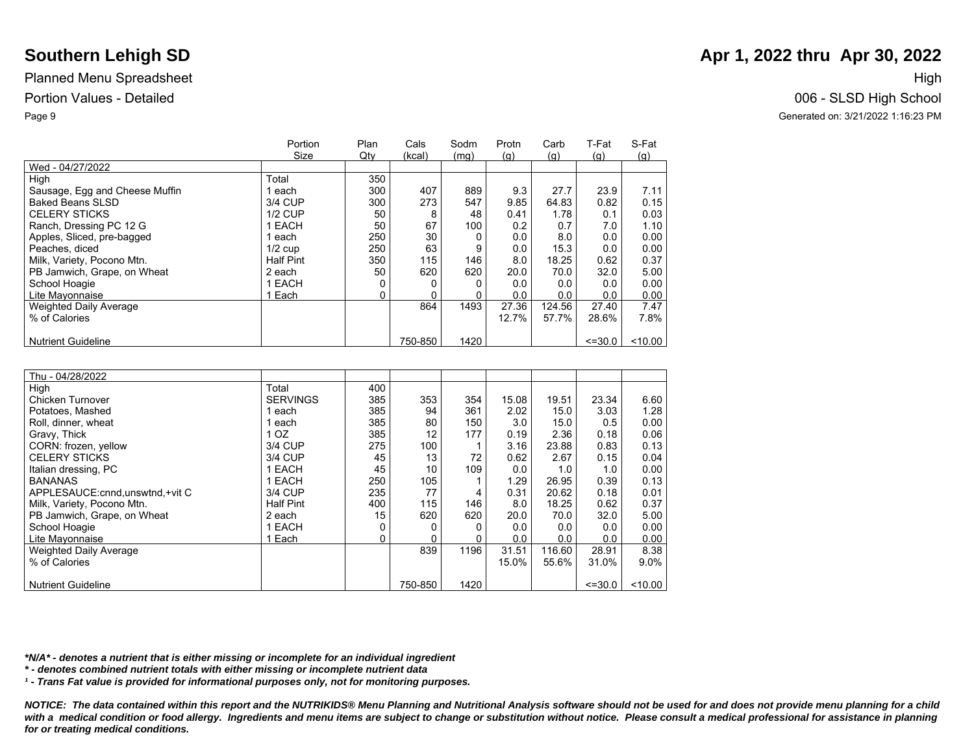|                                | Portion          | Plan | Cals    | Sodm | Protn | Carb   | T-Fat       | S-Fat     |
|--------------------------------|------------------|------|---------|------|-------|--------|-------------|-----------|
|                                | Size             | Qty  | (kcal)  | (mq) | (q)   | (q)    | (q)         | (g)       |
| Wed - 04/27/2022               |                  |      |         |      |       |        |             |           |
| High                           | Total            | 350  |         |      |       |        |             |           |
| Sausage, Egg and Cheese Muffin | each             | 300  | 407     | 889  | 9.3   | 27.7   | 23.9        | 7.11      |
| <b>Baked Beans SLSD</b>        | 3/4 CUP          | 300  | 273     | 547  | 9.85  | 64.83  | 0.82        | 0.15      |
| <b>CELERY STICKS</b>           | <b>1/2 CUP</b>   | 50   | 8       | 48   | 0.41  | 1.78   | 0.1         | 0.03      |
| Ranch, Dressing PC 12 G        | 1 EACH           | 50   | 67      | 100  | 0.2   | 0.7    | 7.0         | 1.10      |
| Apples, Sliced, pre-bagged     | each             | 250  | 30      |      | 0.0   | 8.0    | 0.0         | 0.00      |
| Peaches, diced                 | $1/2$ cup        | 250  | 63      | 9    | 0.0   | 15.3   | 0.0         | 0.00      |
| Milk, Variety, Pocono Mtn.     | <b>Half Pint</b> | 350  | 115     | 146  | 8.0   | 18.25  | 0.62        | 0.37      |
| PB Jamwich, Grape, on Wheat    | 2 each           | 50   | 620     | 620  | 20.0  | 70.0   | 32.0        | 5.00      |
| School Hoagie                  | 1 EACH           | 0    |         |      | 0.0   | 0.0    | 0.0         | 0.00      |
| Lite Mayonnaise                | 1 Each           | 0    |         |      | 0.0   | 0.0    | 0.0         | 0.00      |
| <b>Weighted Daily Average</b>  |                  |      | 864     | 1493 | 27.36 | 124.56 | 27.40       | 7.47      |
| % of Calories                  |                  |      |         |      | 12.7% | 57.7%  | 28.6%       | 7.8%      |
|                                |                  |      |         |      |       |        |             |           |
| <b>Nutrient Guideline</b>      |                  |      | 750-850 | 1420 |       |        | $\leq 30.0$ | $<$ 10.00 |

| Thu - 04/28/2022                  |                  |     |         |      |       |        |             |         |
|-----------------------------------|------------------|-----|---------|------|-------|--------|-------------|---------|
| High                              | Total            | 400 |         |      |       |        |             |         |
| Chicken Turnover                  | <b>SERVINGS</b>  | 385 | 353     | 354  | 15.08 | 19.51  | 23.34       | 6.60    |
| Potatoes, Mashed                  | 1 each           | 385 | 94      | 361  | 2.02  | 15.0   | 3.03        | 1.28    |
| Roll, dinner, wheat               | 1 each           | 385 | 80      | 150  | 3.0   | 15.0   | 0.5         | 0.00    |
| Gravy, Thick                      | 1 <sub>OZ</sub>  | 385 | 12      | 177  | 0.19  | 2.36   | 0.18        | 0.06    |
| CORN: frozen, yellow              | 3/4 CUP          | 275 | 100     |      | 3.16  | 23.88  | 0.83        | 0.13    |
| <b>CELERY STICKS</b>              | 3/4 CUP          | 45  | 13      | 72   | 0.62  | 2.67   | 0.15        | 0.04    |
| Italian dressing, PC              | 1 EACH           | 45  | 10      | 109  | 0.0   | 1.0    | 1.0         | 0.00    |
| <b>BANANAS</b>                    | 1 EACH           | 250 | 105     |      | 1.29  | 26.95  | 0.39        | 0.13    |
| APPLESAUCE: cnnd, unswtnd, +vit C | 3/4 CUP          | 235 | 77      | 4    | 0.31  | 20.62  | 0.18        | 0.01    |
| Milk, Variety, Pocono Mtn.        | <b>Half Pint</b> | 400 | 115     | 146  | 8.0   | 18.25  | 0.62        | 0.37    |
| PB Jamwich, Grape, on Wheat       | 2 each           | 15  | 620     | 620  | 20.0  | 70.0   | 32.0        | 5.00    |
| School Hoagie                     | 1 EACH           |     |         | 0    | 0.0   | 0.0    | 0.0         | 0.00    |
| Lite Mayonnaise                   | 1 Each           | 0   |         |      | 0.0   | 0.0    | 0.0         | 0.00    |
| <b>Weighted Daily Average</b>     |                  |     | 839     | 1196 | 31.51 | 116.60 | 28.91       | 8.38    |
| % of Calories                     |                  |     |         |      | 15.0% | 55.6%  | 31.0%       | $9.0\%$ |
|                                   |                  |     |         |      |       |        |             |         |
| <b>Nutrient Guideline</b>         |                  |     | 750-850 | 1420 |       |        | $\leq 30.0$ | 10.00   |

*\*N/A\* - denotes a nutrient that is either missing or incomplete for an individual ingredient*

*\* - denotes combined nutrient totals with either missing or incomplete nutrient data*

*¹ - Trans Fat value is provided for informational purposes only, not for monitoring purposes.*

*NOTICE: The data contained within this report and the NUTRIKIDS® Menu Planning and Nutritional Analysis software should not be used for and does not provide menu planning for a child*  with a medical condition or food allergy. Ingredients and menu items are subject to change or substitution without notice. Please consult a medical professional for assistance in planning *for or treating medical conditions.*

# **Southern Lehigh SD Apr 1, 2022 thru Apr 30, 2022 Apr 1, 2022 thru Apr 30, 2022**

Portion Values - Detailed 006 - SLSD High School Page 9 Generated on: 3/21/2022 1:16:23 PM